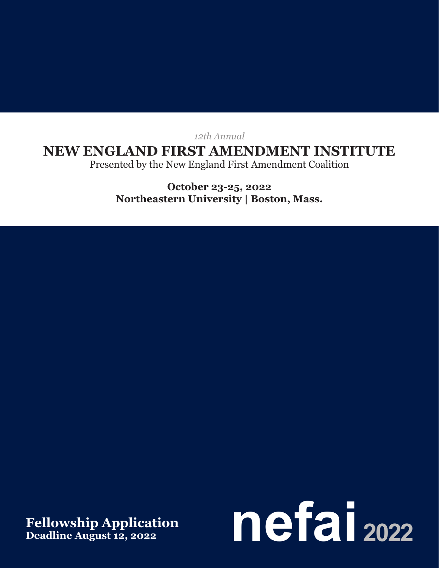*12th Annual*

## **NEW ENGLAND FIRST AMENDMENT INSTITUTE**

Presented by the New England First Amendment Coalition

**October 23-25, 2022 Northeastern University | Boston, Mass.**

**Deadline August 12, 2022**

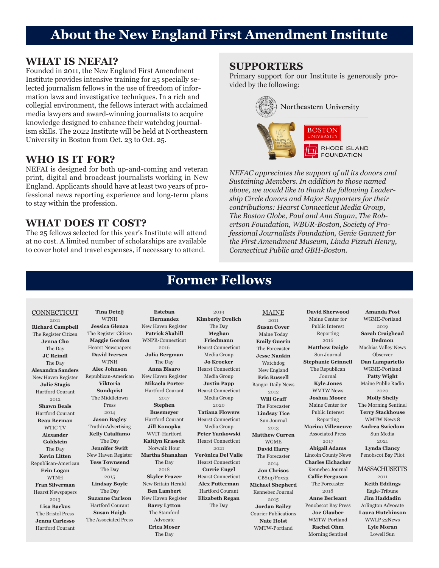# **About the New England First Amendment Institute**

### **WHAT IS NEFAI?**

Founded in 2011, the New England First Amendment Institute provides intensive training for 25 specially selected journalism fellows in the use of freedom of information laws and investigative techniques. In a rich and collegial environment, the fellows interact with acclaimed media lawyers and award-winning journalists to acquire knowledge designed to enhance their watchdog journalism skills. The 2022 Institute will be held at Northeastern University in Boston from Oct. 23 to Oct. 25.

### **WHO IS IT FOR?**

NEFAI is designed for both up-and-coming and veteran print, digital and broadcast journalists working in New England. Applicants should have at least two years of professional news reporting experience and long-term plans to stay within the profession.

### **WHAT DOES IT COST?**

The 25 fellows selected for this year's Institute will attend at no cost. A limited number of scholarships are available to cover hotel and travel expenses, if necessary to attend.

### **SUPPORTERS**

Primary support for our Institute is generously provided by the following:



*NEFAC appreciates the support of all its donors and Sustaining Members. In addition to those named above, we would like to thank the following Leadership Circle donors and Major Supporters for their contributions: Hearst Connecticut Media Group, The Boston Globe, Paul and Ann Sagan, The Robertson Foundation, WBUR-Boston, Society of Professional Journalists Foundation, Genie Gannett for the First Amendment Museum, Linda Pizzuti Henry, Connecticut Public and GBH-Boston.*

## **Former Fellows**

#### **CONNECTICUT**

2011 **Richard Campbell** The Register Citizen **Jenna Cho** The Day **JC Reindl** The Day **Alexandra Sanders** New Haven Register **Julie Stagis** Hartford Courant 2012 **Shawn Beals** Hartford Courant **Beau Berman** WTIC-TV **Alexander Goldstein** The Day **Kevin Litten** Republican-American **Erin Logan** WTNH **Fran Silverman** Hearst Newspapers 2013 **Lisa Backus** The Bristol Press **Jenna Carlesso** Hartford Courant

**Tina Detelj** WTNH **Jessica Glenza** The Register Citizen **Maggie Gordon** Hearst Newspapers **David Iversen** WTNH **Alec Johnson** Republican-American **Viktoria Sundqvist** The Middletown Press 2014 **Jason Bagley** TruthInAdvertising **Kelly Catalfamo** The Day **Jennifer Swift** New Haven Register **Tess Townsend** The Day 2015 **Lindsay Boyle** The Day **Suzanne Carlson** Hartford Courant **Susan Haigh** The Associated Press

**Esteban Hernandez** New Haven Register **Patrick Skahill** WNPR-Connecticut 2016 **Julia Bergman** The Day **Anna Bisaro** New Haven Register **Mikaela Porter** Hartford Courant 2017 **Stephen Busemeyer** Hartford Courant **Jill Konopka** WVIT-Hartford **Kaitlyn Krasselt** Norwalk Hour **Martha Shanahan** The Day 2018 **Skyler Frazer** New Britain Herald **Ben Lambert** New Haven Register **Barry Lytton** The Stamford Advocate **Erica Moser** The Day

2019 **Kimberly Drelich** The Day **Meghan Friedmann** Hearst Connecticut Media Group **Jo Kroeker** Hearst Connecticut Media Group **Justin Papp** Hearst Connecticut Media Group 2020 **Tatiana Flowers** Hearst Connecticut Media Group **Peter Yankowski** Hearst Connecticut 2021 **Verónica Del Valle** Hearst Connecticut **Currie Engel** Hearst Connecticut **Alex Putterman** Hartford Courant **Elizabeth Regan** The Day

MAINE 2011 **Susan Cover** Maine Today **Emily Guerin** The Forecaster **Jesse Nankin** Watchdog New England **Eric Russell** Bangor Daily News 2012 **Will Graff** The Forecaster **Lindsay Tice** Sun Journal 2013 **Matthew Curren** WGME **David Harry** The Forecaster 2014 **Jon Chrisos** CBS13/Fox23 **Michael Shepherd** Kennebec Journal 2015 **Jordan Bailey** Courier Publications **Nate Holst** WMTW-Portland

**David Sherwood** Maine Center for Public Interest Reporting 2016 **Matthew Daigle** Sun Journal **Stephanie Grinnell** The Republican Journal **Kyle Jones** WMTW News **Joshua Moore** Maine Center for Public Interest Reporting **Marina Villeneuve** Associated Press 2017 **Abigail Adams** Lincoln County News **Charles Eichacker** Kennebec Journal **Callie Ferguson** The Forecaster 2018 **Anne Berleant** Penobscot Bay Press **Joe Glauber** WMTW-Portland **Rachel Ohm** Morning Sentinel

#### **Amanda Post** WGME-Portland 2019 **Sarah Craighead Dedmon** Machias Valley News Observer **Dan Lampariello** WGME-Portland **Patty Wight** Maine Public Radio 2020 **Molly Shelly** The Morning Sentinel **Terry Stackhouse** WMTW News 8 **Andrea Swiedom** Sun Media 2021 **Lynda Clancy** Penobscot Bay Pilot

#### **MASSACHUSETTS**

2011 **Keith Eddings** Eagle-Tribune **Jim Haddadin** Arlington Advocate **Laura Hutchinson** WWLP 22News **Lyle Moran** Lowell Sun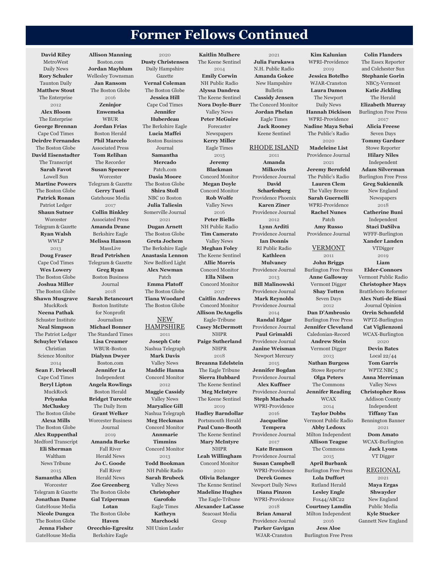## **Former Fellows Continued**

**David Riley** MetroWest Daily News **Rory Schuler** Taunton Daily **Matthew Stout** The Enterprise 2012 **Alex Bloom** The Enterprise **George Brennan** Cape Cod Times **Deirdre Fernandes** The Boston Globe **David Eisenstadter** The Transcript **Sarah Favot** Lowell Sun **Martine Powers** The Boston Globe **Patrick Ronan** Patriot Ledger **Shaun Sutner Worcester** Telegram & Gazette **Ryan Walsh** WWLP 2013 **Doug Fraser** Cape Cod Times **Wes Lowery** The Boston Globe **Joshua Miller** The Boston Globe **Shawn Musgrave** MuckRock **Neena Pathak** Schuster Institute **Neal Simpson** The Patriot Ledger **Schuyler Velasco** Christian Science Monitor 2014 **Sean F. Driscoll** Cape Cod Times **Beryl Lipton** MuckRock **Priyanka McCluskey** The Boston Globe **Alexa Mills** The Boston Globe **Alex Ruppenthal** Medford Transcript **Eli Sherman** Waltham News Tribune 2015 **Samantha Allen Worcester** Telegram & Gazette **Jonathan Dame** GateHouse Media **Nicole Dungca** The Boston Globe **Jenna Fisher** GateHouse Media

**Allison Manning** Boston.com **Jordan Mayblum** Wellesley Townsman **Jan Ransom** The Boston Globe 2016 **Zeninjor Enwemeka** WBUR **Jordan Frias** Boston Herald **Phil Marcelo** Associated Press **Tom Relihan** The Recorder **Susan Spencer Worcester** Telegram & Gazette **Gerry Tuoti** Gatehouse Media 2017 **Collin Binkley** Associated Press **Amanda Drane** Berkshire Eagle **Melissa Hanson** MassLive **Brad Petrishen** Telegram & Gazette **Greg Ryan** Boston Business Journal 2018 **Sarah Betancourt** Boston Institute for Nonprofit Journalism **Michael Bonner** The Standard Times **Lisa Creamer** WBUR-Boston **Dialynn Dwyer** Boston.com **Jennifer Lu** Independent **Angela Rowlings** Boston Herald **Bridget Turcotte** The Daily Item **Grant Welker** Worcester Business Journal 2019 **Amanda Burke** Fall River Herald News **Jo C. Goode** Fall River Herald News **Zoe Greenberg** The Boston Globe **Gal Tziperman Lotan** The Boston Globe **Haven Orecchio-Egresitz** Berkshire Eagle

2020 **Dusty Christensen** Daily Hampshire Gazette **Vernal Coleman** The Boston Globe **Jessica Hill** Cape Cod Times **Jennifer Huberdeau** The Berkshire Eagle **Lucia Maffei** Boston Business Journal **Samantha Mercado** Patch.com **Dasia Moore** The Boston Globe **Shira Stoll** NBC 10 Boston **Julia Taliesin** Somerville Journal 2021 **Dugan Arnett** The Boston Globe **Greta Jochem** The Berkshire Eagle **Anastasia Lennon** New Bedford Light **Alex Newman** Patch **Emma Platoff** The Boston Globe **Tiana Woodard** The Boston Globe NEW **HAMPSHIRE** 2011 **Joseph Cote** Nashua Telegraph **Mark Davis** Valley News **Maddie Hanna** Concord Monitor 2012 **Maggie Cassidy** Valley News **Maryalice Gill** Nashua Telegraph **Meg Heckman** Concord Monitor **Annmarie Timmins** Concord Monitor 2013 **Todd Bookman** NH Public Radio **Sarah Brubeck** Valley News **Christopher Garofolo** Eagle Times **Kathryn Marchocki** NH Union Leader

**Kaitlin Mulhere** The Keene Sentinel 2014 **Emily Corwin** NH Public Radio **Alyssa Dandrea** The Keene Sentinel **Nora Doyle-Burr** Valley News **Peter McGuire** Forecaster Newspapers **Kerry Miller** Eagle Times 2015 **Jeremy Blackman** Concord Monitor **Megan Doyle** Concord Monitor **Rob Wolfe** Valley News 2016 **Peter Biello** NH Public Radio **Tim Camerato** Valley News **Meghan Foley** The Keene Sentinel **Allie Morris** Concord Monitor **Ella Nilsen** Concord Monitor 2017 **Caitlin Andrews** Concord Monitor **Allison DeAngelis** Eagle-Tribune **Casey McDermott** NHPR **Paige Sutherland** NHPR 2018 **Breanna Edelstein** The Eagle Tribune **Sierra Hubbard** The Keene Sentinel **Meg McIntyre** The Keene Sentinel 2019 **Hadley Barndollar** Portsmouth Herald **Paul Cuno-Booth** The Keene Sentinel **Mary McIntyre** NHPR **Leah Willingham** Concord Monitor 2020 **Olivia Belanger** The Kenne Sentinel **Madeline Hughes** The Eagle-Tribune **Alexander LaCasse** Seacoast Media Group

2021 **Julia Furukawa** N.H. Public Radio **Amanda Gokee** New Hampshire Bulletin **Cassidy Jensen** The Concord Monitor **Jordan Phelan** Eagle Times **Jack Rooney** Keene Sentinel RHODE ISLAND 2011 **Amanda Milkovits** Providence Journal **David Scharfenberg** Providence Phoenix **Karen Ziner** Providence Journal 2012 **Lynn Arditi** Providence Journal **Ian Donnis** RI Public Radio **Kathleen Mulvaney** Providence Journal 2013 **Bill Malinowski** Providence Journal **Mark Reynolds** Providence Journal 2014 **Randal Edgar** Providence Journal **Paul Grimaldi** Providence Journal **Janine Weisman** Newport Mercury 2015 **Jennifer Bogdan** Providence Journal **Alex Kuffner** Providence Journal **Steph Machado** WPRI-Providence 2016 **Jacqueline Tempera** Providence Journal 2017 **Kate Bramson** Providence Journal **Susan Campbell** WPRI-Providence **Derek Gomes** Newport Daily News **Diana Pinzon** WPRI-Providence 2018 **Brian Amaral** Providence Journal **Parker Gavigan**

WJAR-Cranston

**Kim Kalunian** WPRI-Providence 2019 **Jessica Botelho** WJAR-Cranston **Laura Damon** The Newport Daily News **Hannah Dickison** WPRI-Providence **Nadine Maya Sebai** The Public's Radio 2020 **Madeleine List** Providence Journal 2021 **Jeremy Bernfeld** The Public's Radio **Lauren Clem** The Valley Breeze **Sarah Guernelli** WPRI-Providence **Rachel Nunes** Patch **Amy Russo** Providence Journal VERMONT 2011 **John Briggs** Burlington Free Press **Anne Galloway** Vermont Digger **Shay Totten** Seven Days 2012 **Dan D'Ambrosio** Burlington Free Press **Jennifer Cleveland** Caledonian-Record **Andrew Stein** Vermont Digger 2013 **Nathan Burgess** Stowe Reporter **Olga Peters** The Commons **Jennifer Reading** WCAX 2014 **Taylor Dobbs** Vermont Public Radio **Abby Ledoux** Milton Independent **Allison Teague** The Commons 2015 **April Burbank** Burlington Free Press **Lola Duffort** Rutland Herald **Lesley Engle** Fox44/ABC22 **Courtney Lamdin** Milton Independent 2016 **Jess Aloe** Burlington Free Press

**Colin Flanders** The Essex Reporter and Colchester Sun **Stephanie Gorin** NBC5-Vermont **Katie Jickling** The Herald **Elizabeth Murray** Burlington Free Press 2017 **Alicia Freese** Seven Days **Tommy Gardner** Stowe Reporter **Hilary Niles** Independent **Adam Silverman** Burlington Free Press **Greg Sukiennik** New England Newspapers 2018 **Catherine Buni** Independent **Staci DaSilva** WFFF-Burlington **Xander Landen** VTDigger 2019 **Liam Elder-Connors** Vermont Public Radio **Christopher Mays** Brattleboro Reformer **Alex Nuti-de Biasi** Journal Opinion **Orrin Schonfeld** WPTZ-Burlington **Cat Viglienzoni** WCAX-Burlington 2020 **Devin Bates** Local 22/44 **Tom Garris** WPTZ NBC 5 **Anna Merriman** Valley News **Christopher Ross** Addison County Independent **Tiffany Tan** Bennington Banner 2021 **Dom Amato** WCAX-Burlington **Jack Lyons** VT Digger REGIONAL

2021 **Maya Ergas Shwayder** New England Public Media **Kyle Stucker** Gannett New England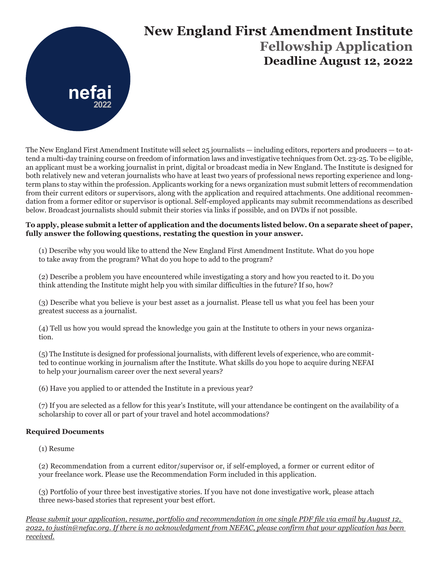

# **New England First Amendment Institute Fellowship Application Deadline August 12, 2022**

The New England First Amendment Institute will select 25 journalists — including editors, reporters and producers — to attend a multi-day training course on freedom of information laws and investigative techniques from Oct. 23-25. To be eligible, an applicant must be a working journalist in print, digital or broadcast media in New England. The Institute is designed for both relatively new and veteran journalists who have at least two years of professional news reporting experience and longterm plans to stay within the profession. Applicants working for a news organization must submit letters of recommendation from their current editors or supervisors, along with the application and required attachments. One additional recommendation from a former editor or supervisor is optional. Self-employed applicants may submit recommendations as described below. Broadcast journalists should submit their stories via links if possible, and on DVDs if not possible.

### **To apply, please submit a letter of application and the documents listed below. On a separate sheet of paper, fully answer the following questions, restating the question in your answer.**

(1) Describe why you would like to attend the New England First Amendment Institute. What do you hope to take away from the program? What do you hope to add to the program?

(2) Describe a problem you have encountered while investigating a story and how you reacted to it. Do you think attending the Institute might help you with similar difficulties in the future? If so, how?

(3) Describe what you believe is your best asset as a journalist. Please tell us what you feel has been your greatest success as a journalist.

(4) Tell us how you would spread the knowledge you gain at the Institute to others in your news organization.

(5) The Institute is designed for professional journalists, with different levels of experience, who are committed to continue working in journalism after the Institute. What skills do you hope to acquire during NEFAI to help your journalism career over the next several years?

(6) Have you applied to or attended the Institute in a previous year?

(7) If you are selected as a fellow for this year's Institute, will your attendance be contingent on the availability of a scholarship to cover all or part of your travel and hotel accommodations?

### **Required Documents**

(1) Resume

(2) Recommendation from a current editor/supervisor or, if self-employed, a former or current editor of your freelance work. Please use the Recommendation Form included in this application.

(3) Portfolio of your three best investigative stories. If you have not done investigative work, please attach three news-based stories that represent your best effort.

*Please submit your application, resume, portfolio and recommendation in one single PDF file via email by August 12, 2022, to justin@nefac.org. If there is no acknowledgment from NEFAC, please confirm that your application has been received.*